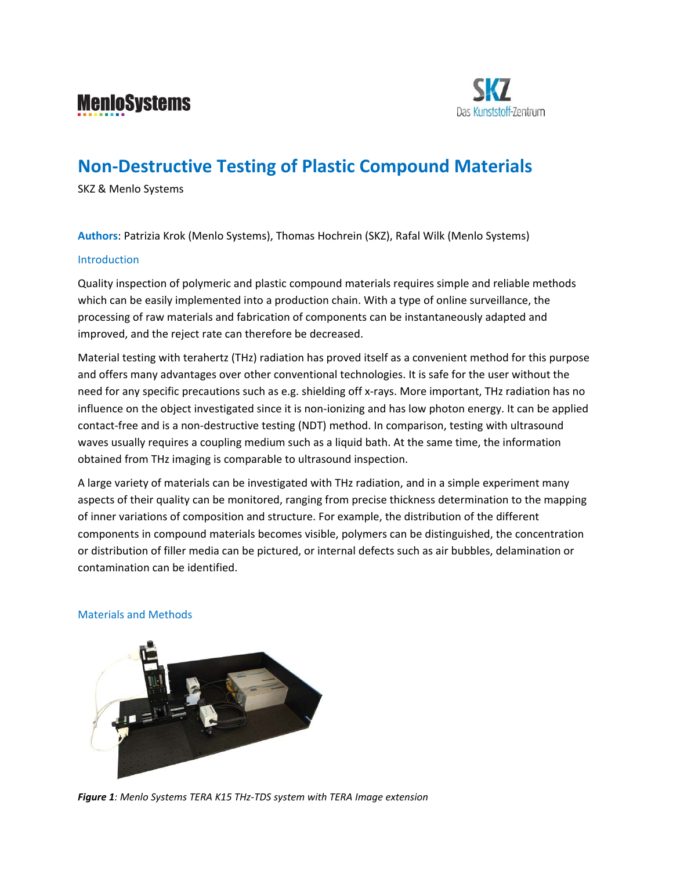



# **Non‐Destructive Testing of Plastic Compound Materials**

SKZ & Menlo Systems

**Authors**: Patrizia Krok (Menlo Systems), Thomas Hochrein (SKZ), Rafal Wilk (Menlo Systems)

#### Introduction

Quality inspection of polymeric and plastic compound materials requires simple and reliable methods which can be easily implemented into a production chain. With a type of online surveillance, the processing of raw materials and fabrication of components can be instantaneously adapted and improved, and the reject rate can therefore be decreased.

Material testing with terahertz (THz) radiation has proved itself as a convenient method for this purpose and offers many advantages over other conventional technologies. It is safe for the user without the need for any specific precautions such as e.g. shielding off x-rays. More important, THz radiation has no influence on the object investigated since it is non‐ionizing and has low photon energy. It can be applied contact-free and is a non-destructive testing (NDT) method. In comparison, testing with ultrasound waves usually requires a coupling medium such as a liquid bath. At the same time, the information obtained from THz imaging is comparable to ultrasound inspection.

A large variety of materials can be investigated with THz radiation, and in a simple experiment many aspects of their quality can be monitored, ranging from precise thickness determination to the mapping of inner variations of composition and structure. For example, the distribution of the different components in compound materials becomes visible, polymers can be distinguished, the concentration or distribution of filler media can be pictured, or internal defects such as air bubbles, delamination or contamination can be identified.

## Materials and Methods



*Figure 1: Menlo Systems TERA K15 THz‐TDS system with TERA Image extension*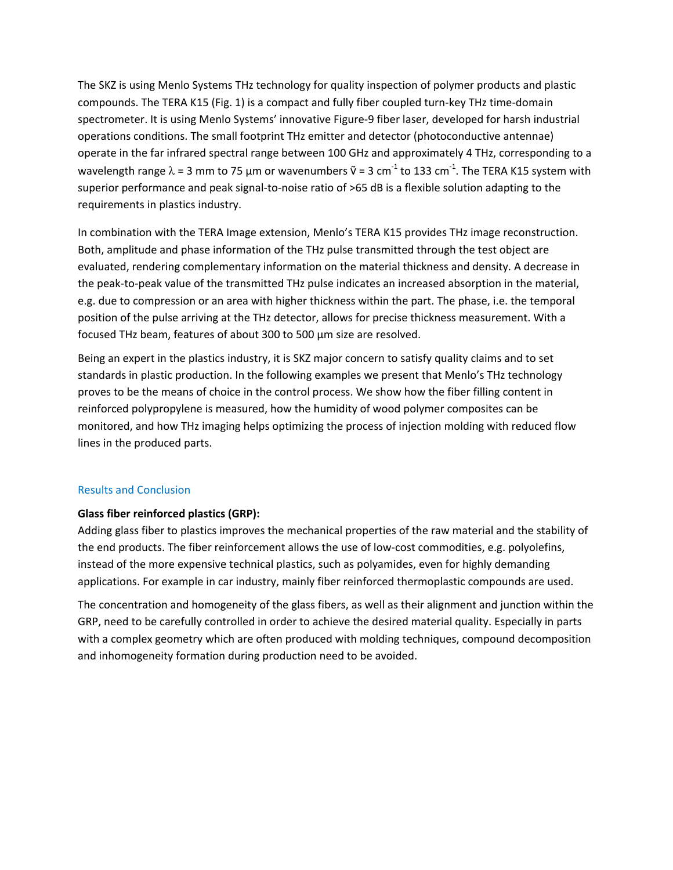The SKZ is using Menlo Systems THz technology for quality inspection of polymer products and plastic compounds. The TERA K15 (Fig. 1) is a compact and fully fiber coupled turn‐key THz time‐domain spectrometer. It is using Menlo Systems' innovative Figure‐9 fiber laser, developed for harsh industrial operations conditions. The small footprint THz emitter and detector (photoconductive antennae) operate in the far infrared spectral range between 100 GHz and approximately 4 THz, corresponding to a wavelength range  $\lambda$  = 3 mm to 75 µm or wavenumbers  $\tilde{\mathsf{v}}$  = 3 cm<sup>-1</sup> to 133 cm<sup>-1</sup>. The TERA K15 system with superior performance and peak signal-to-noise ratio of >65 dB is a flexible solution adapting to the requirements in plastics industry.

In combination with the TERA Image extension, Menlo's TERA K15 provides THz image reconstruction. Both, amplitude and phase information of the THz pulse transmitted through the test object are evaluated, rendering complementary information on the material thickness and density. A decrease in the peak‐to‐peak value of the transmitted THz pulse indicates an increased absorption in the material, e.g. due to compression or an area with higher thickness within the part. The phase, i.e. the temporal position of the pulse arriving at the THz detector, allows for precise thickness measurement. With a focused THz beam, features of about 300 to 500 µm size are resolved.

Being an expert in the plastics industry, it is SKZ major concern to satisfy quality claims and to set standards in plastic production. In the following examples we present that Menlo's THz technology proves to be the means of choice in the control process. We show how the fiber filling content in reinforced polypropylene is measured, how the humidity of wood polymer composites can be monitored, and how THz imaging helps optimizing the process of injection molding with reduced flow lines in the produced parts.

## Results and Conclusion

# **Glass fiber reinforced plastics (GRP):**

Adding glass fiber to plastics improves the mechanical properties of the raw material and the stability of the end products. The fiber reinforcement allows the use of low‐cost commodities, e.g. polyolefins, instead of the more expensive technical plastics, such as polyamides, even for highly demanding applications. For example in car industry, mainly fiber reinforced thermoplastic compounds are used.

The concentration and homogeneity of the glass fibers, as well as their alignment and junction within the GRP, need to be carefully controlled in order to achieve the desired material quality. Especially in parts with a complex geometry which are often produced with molding techniques, compound decomposition and inhomogeneity formation during production need to be avoided.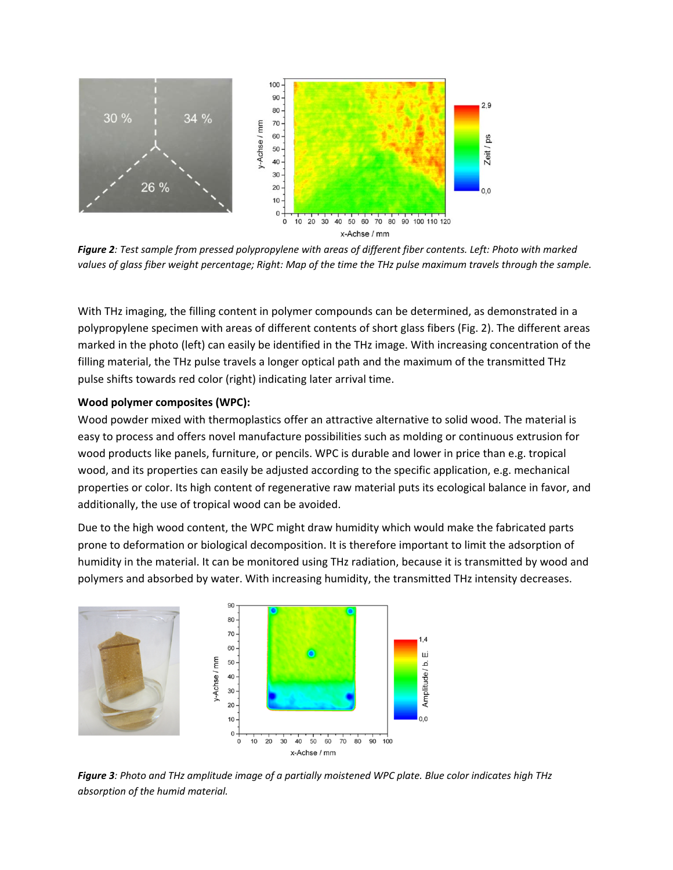

Figure 2: Test sample from pressed polypropylene with areas of different fiber contents. Left: Photo with marked values of glass fiber weight percentage; Right: Map of the time the THz pulse maximum travels through the sample.

With THz imaging, the filling content in polymer compounds can be determined, as demonstrated in a polypropylene specimen with areas of different contents of short glass fibers (Fig. 2). The different areas marked in the photo (left) can easily be identified in the THz image. With increasing concentration of the filling material, the THz pulse travels a longer optical path and the maximum of the transmitted THz pulse shifts towards red color (right) indicating later arrival time.

#### **Wood polymer composites (WPC):**

Wood powder mixed with thermoplastics offer an attractive alternative to solid wood. The material is easy to process and offers novel manufacture possibilities such as molding or continuous extrusion for wood products like panels, furniture, or pencils. WPC is durable and lower in price than e.g. tropical wood, and its properties can easily be adjusted according to the specific application, e.g. mechanical properties or color. Its high content of regenerative raw material puts its ecological balance in favor, and additionally, the use of tropical wood can be avoided.

Due to the high wood content, the WPC might draw humidity which would make the fabricated parts prone to deformation or biological decomposition. It is therefore important to limit the adsorption of humidity in the material. It can be monitored using THz radiation, because it is transmitted by wood and polymers and absorbed by water. With increasing humidity, the transmitted THz intensity decreases.



Figure 3: Photo and THz amplitude image of a partially moistened WPC plate. Blue color indicates high THz *absorption of the humid material.*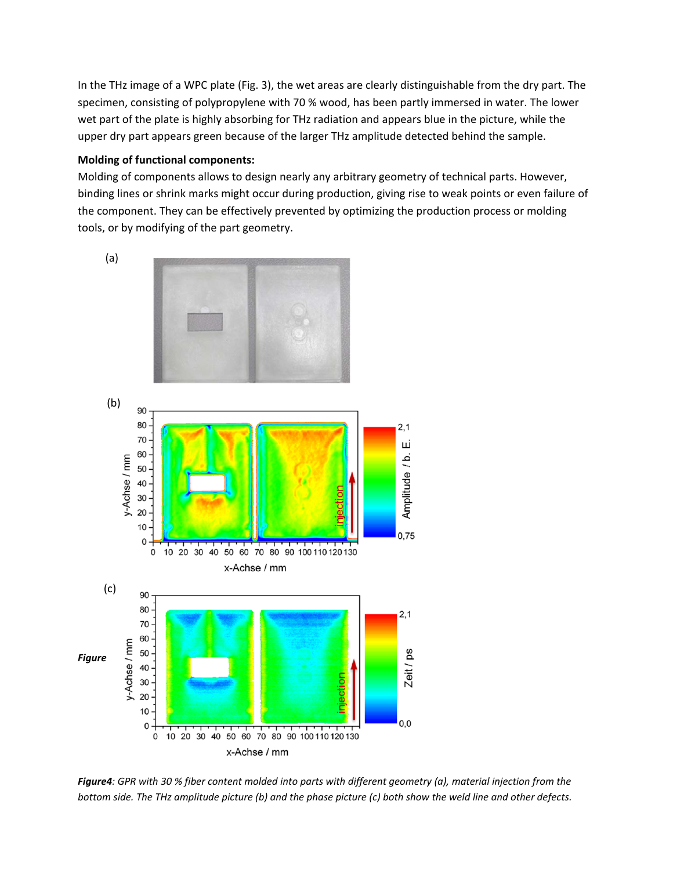In the THz image of a WPC plate (Fig. 3), the wet areas are clearly distinguishable from the dry part. The specimen, consisting of polypropylene with 70 % wood, has been partly immersed in water. The lower wet part of the plate is highly absorbing for THz radiation and appears blue in the picture, while the upper dry part appears green because of the larger THz amplitude detected behind the sample.

## **Molding of functional components:**

Molding of components allows to design nearly any arbitrary geometry of technical parts. However, binding lines or shrink marks might occur during production, giving rise to weak points or even failure of the component. They can be effectively prevented by optimizing the production process or molding tools, or by modifying of the part geometry.



Figure4: GPR with 30 % fiber content molded into parts with different geometry (a), material injection from the bottom side. The THz amplitude picture (b) and the phase picture (c) both show the weld line and other defects.